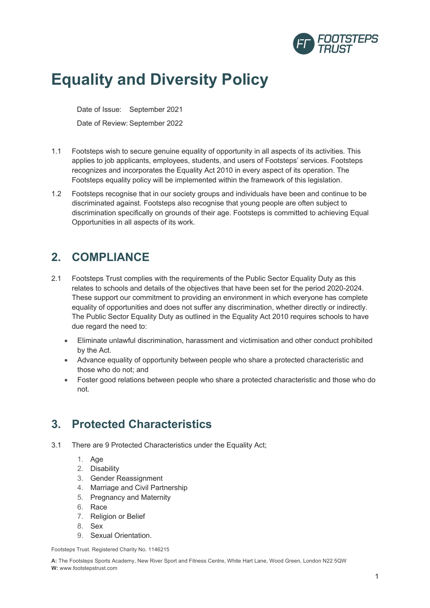

# **Equality and Diversity Policy**

Date of Issue: September 2021 Date of Review: September 2022

- 1.1 Footsteps wish to secure genuine equality of opportunity in all aspects of its activities. This applies to job applicants, employees, students, and users of Footsteps' services. Footsteps recognizes and incorporates the Equality Act 2010 in every aspect of its operation. The Footsteps equality policy will be implemented within the framework of this legislation.
- 1.2 Footsteps recognise that in our society groups and individuals have been and continue to be discriminated against. Footsteps also recognise that young people are often subject to discrimination specifically on grounds of their age. Footsteps is committed to achieving Equal Opportunities in all aspects of its work.

# **2. COMPLIANCE**

- 2.1 Footsteps Trust complies with the requirements of the Public Sector Equality Duty as this relates to schools and details of the objectives that have been set for the period 2020-2024. These support our commitment to providing an environment in which everyone has complete equality of opportunities and does not suffer any discrimination, whether directly or indirectly. The Public Sector Equality Duty as outlined in the Equality Act 2010 requires schools to have due regard the need to:
	- Eliminate unlawful discrimination, harassment and victimisation and other conduct prohibited by the Act.
	- Advance equality of opportunity between people who share a protected characteristic and those who do not; and
	- Foster good relations between people who share a protected characteristic and those who do not.

## **3. Protected Characteristics**

- 3.1 There are 9 Protected Characteristics under the Equality Act;
	- 1. Age
	- 2. Disability
	- 3. Gender Reassignment
	- 4. Marriage and Civil Partnership
	- 5. Pregnancy and Maternity
	- 6. Race
	- 7. Religion or Belief
	- 8. Sex
	- 9. Sexual Orientation.

Footsteps Trust. Registered Charity No. 1146215

**A:** The Footsteps Sports Academy, New River Sport and Fitness Centre, White Hart Lane, Wood Green, London N22 5QW **W:** www.footstepstrust.com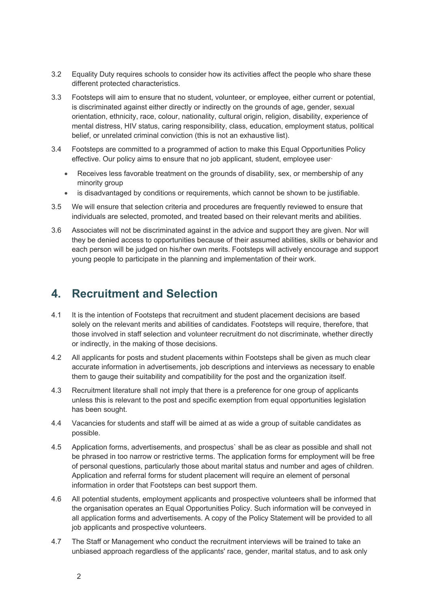- 3.2 Equality Duty requires schools to consider how its activities affect the people who share these different protected characteristics.
- 3.3 Footsteps will aim to ensure that no student, volunteer, or employee, either current or potential, is discriminated against either directly or indirectly on the grounds of age, gender, sexual orientation, ethnicity, race, colour, nationality, cultural origin, religion, disability, experience of mental distress, HIV status, caring responsibility, class, education, employment status, political belief, or unrelated criminal conviction (this is not an exhaustive list).
- 3.4 Footsteps are committed to a programmed of action to make this Equal Opportunities Policy effective. Our policy aims to ensure that no job applicant, student, employee user·
	- Receives less favorable treatment on the grounds of disability, sex, or membership of any minority group
	- is disadvantaged by conditions or requirements, which cannot be shown to be justifiable.
- 3.5 We will ensure that selection criteria and procedures are frequently reviewed to ensure that individuals are selected, promoted, and treated based on their relevant merits and abilities.
- 3.6 Associates will not be discriminated against in the advice and support they are given. Nor will they be denied access to opportunities because of their assumed abilities, skills or behavior and each person will be judged on his/her own merits. Footsteps will actively encourage and support young people to participate in the planning and implementation of their work.

#### **4. Recruitment and Selection**

- 4.1 It is the intention of Footsteps that recruitment and student placement decisions are based solely on the relevant merits and abilities of candidates. Footsteps will require, therefore, that those involved in staff selection and volunteer recruitment do not discriminate, whether directly or indirectly, in the making of those decisions.
- 4.2 All applicants for posts and student placements within Footsteps shall be given as much clear accurate information in advertisements, job descriptions and interviews as necessary to enable them to gauge their suitability and compatibility for the post and the organization itself.
- 4.3 Recruitment literature shall not imply that there is a preference for one group of applicants unless this is relevant to the post and specific exemption from equal opportunities legislation has been sought.
- 4.4 Vacancies for students and staff will be aimed at as wide a group of suitable candidates as possible.
- 4.5 Application forms, advertisements, and prospectus` shall be as clear as possible and shall not be phrased in too narrow or restrictive terms. The application forms for employment will be free of personal questions, particularly those about marital status and number and ages of children. Application and referral forms for student placement will require an element of personal information in order that Footsteps can best support them.
- 4.6 All potential students, employment applicants and prospective volunteers shall be informed that the organisation operates an Equal Opportunities Policy. Such information will be conveyed in all application forms and advertisements. A copy of the Policy Statement will be provided to all job applicants and prospective volunteers.
- 4.7 The Staff or Management who conduct the recruitment interviews will be trained to take an unbiased approach regardless of the applicants' race, gender, marital status, and to ask only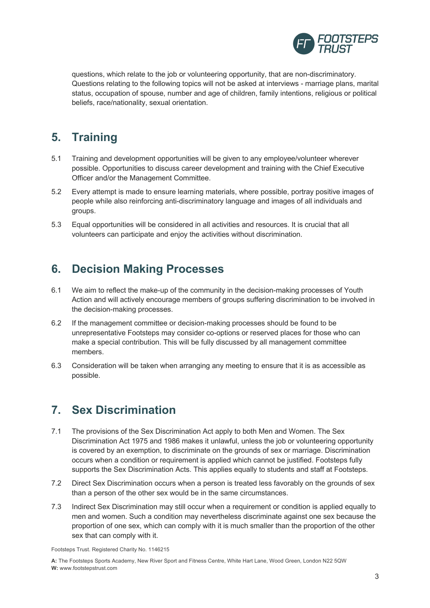

questions, which relate to the job or volunteering opportunity, that are non-discriminatory. Questions relating to the following topics will not be asked at interviews - marriage plans, marital status, occupation of spouse, number and age of children, family intentions, religious or political beliefs, race/nationality, sexual orientation.

## **5. Training**

- 5.1 Training and development opportunities will be given to any employee/volunteer wherever possible. Opportunities to discuss career development and training with the Chief Executive Officer and/or the Management Committee.
- 5.2 Every attempt is made to ensure learning materials, where possible, portray positive images of people while also reinforcing anti-discriminatory language and images of all individuals and groups.
- 5.3 Equal opportunities will be considered in all activities and resources. It is crucial that all volunteers can participate and enjoy the activities without discrimination.

## **6. Decision Making Processes**

- 6.1 We aim to reflect the make-up of the community in the decision-making processes of Youth Action and will actively encourage members of groups suffering discrimination to be involved in the decision-making processes.
- 6.2 If the management committee or decision-making processes should be found to be unrepresentative Footsteps may consider co-options or reserved places for those who can make a special contribution. This will be fully discussed by all management committee members.
- 6.3 Consideration will be taken when arranging any meeting to ensure that it is as accessible as possible.

## **7. Sex Discrimination**

- 7.1 The provisions of the Sex Discrimination Act apply to both Men and Women. The Sex Discrimination Act 1975 and 1986 makes it unlawful, unless the job or volunteering opportunity is covered by an exemption, to discriminate on the grounds of sex or marriage. Discrimination occurs when a condition or requirement is applied which cannot be justified. Footsteps fully supports the Sex Discrimination Acts. This applies equally to students and staff at Footsteps.
- 7.2 Direct Sex Discrimination occurs when a person is treated less favorably on the grounds of sex than a person of the other sex would be in the same circumstances.
- 7.3 Indirect Sex Discrimination may still occur when a requirement or condition is applied equally to men and women. Such a condition may nevertheless discriminate against one sex because the proportion of one sex, which can comply with it is much smaller than the proportion of the other sex that can comply with it.

Footsteps Trust. Registered Charity No. 1146215

**A:** The Footsteps Sports Academy, New River Sport and Fitness Centre, White Hart Lane, Wood Green, London N22 5QW **W:** www.footstepstrust.com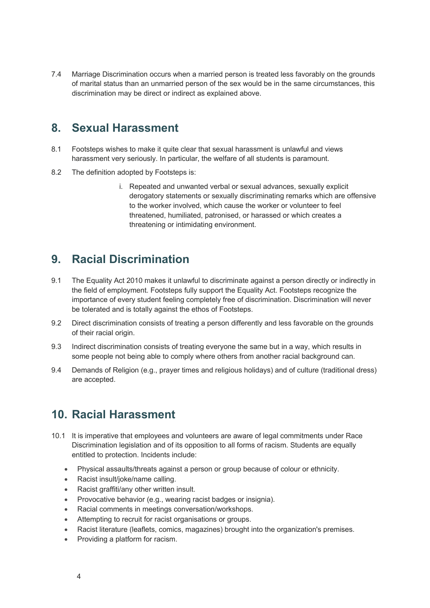7.4 Marriage Discrimination occurs when a married person is treated less favorably on the grounds of marital status than an unmarried person of the sex would be in the same circumstances, this discrimination may be direct or indirect as explained above.

#### **8. Sexual Harassment**

- 8.1 Footsteps wishes to make it quite clear that sexual harassment is unlawful and views harassment very seriously. In particular, the welfare of all students is paramount.
- 8.2 The definition adopted by Footsteps is:
	- i. Repeated and unwanted verbal or sexual advances, sexually explicit derogatory statements or sexually discriminating remarks which are offensive to the worker involved, which cause the worker or volunteer to feel threatened, humiliated, patronised, or harassed or which creates a threatening or intimidating environment.

## **9. Racial Discrimination**

- 9.1 The Equality Act 2010 makes it unlawful to discriminate against a person directly or indirectly in the field of employment. Footsteps fully support the Equality Act. Footsteps recognize the importance of every student feeling completely free of discrimination. Discrimination will never be tolerated and is totally against the ethos of Footsteps.
- 9.2 Direct discrimination consists of treating a person differently and less favorable on the grounds of their racial origin.
- 9.3 Indirect discrimination consists of treating everyone the same but in a way, which results in some people not being able to comply where others from another racial background can.
- 9.4 Demands of Religion (e.g., prayer times and religious holidays) and of culture (traditional dress) are accepted.

## **10. Racial Harassment**

- 10.1 It is imperative that employees and volunteers are aware of legal commitments under Race Discrimination legislation and of its opposition to all forms of racism. Students are equally entitled to protection. Incidents include:
	- Physical assaults/threats against a person or group because of colour or ethnicity.
	- Racist insult/joke/name calling.
	- Racist graffiti/any other written insult.
	- Provocative behavior (e.g., wearing racist badges or insignia).
	- Racial comments in meetings conversation/workshops.
	- Attempting to recruit for racist organisations or groups.
	- Racist literature (leaflets, comics, magazines) brought into the organization's premises.
	- Providing a platform for racism.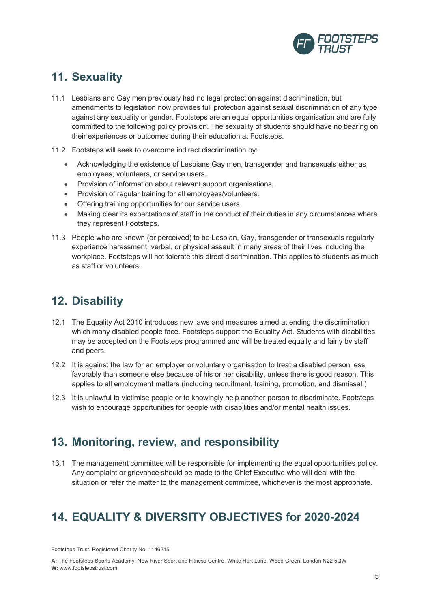

## **11. Sexuality**

- 11.1 Lesbians and Gay men previously had no legal protection against discrimination, but amendments to legislation now provides full protection against sexual discrimination of any type against any sexuality or gender. Footsteps are an equal opportunities organisation and are fully committed to the following policy provision. The sexuality of students should have no bearing on their experiences or outcomes during their education at Footsteps.
- 11.2 Footsteps will seek to overcome indirect discrimination by:
	- Acknowledging the existence of Lesbians Gay men, transgender and transexuals either as employees, volunteers, or service users.
	- Provision of information about relevant support organisations.
	- Provision of regular training for all employees/volunteers.
	- Offering training opportunities for our service users.
	- Making clear its expectations of staff in the conduct of their duties in any circumstances where they represent Footsteps.
- 11.3 People who are known (or perceived) to be Lesbian, Gay, transgender or transexuals regularly experience harassment, verbal, or physical assault in many areas of their lives including the workplace. Footsteps will not tolerate this direct discrimination. This applies to students as much as staff or volunteers.

## **12. Disability**

- 12.1 The Equality Act 2010 introduces new laws and measures aimed at ending the discrimination which many disabled people face. Footsteps support the Equality Act. Students with disabilities may be accepted on the Footsteps programmed and will be treated equally and fairly by staff and peers.
- 12.2 It is against the law for an employer or voluntary organisation to treat a disabled person less favorably than someone else because of his or her disability, unless there is good reason. This applies to all employment matters (including recruitment, training, promotion, and dismissal.)
- 12.3 It is unlawful to victimise people or to knowingly help another person to discriminate. Footsteps wish to encourage opportunities for people with disabilities and/or mental health issues.

## **13. Monitoring, review, and responsibility**

13.1 The management committee will be responsible for implementing the equal opportunities policy. Any complaint or grievance should be made to the Chief Executive who will deal with the situation or refer the matter to the management committee, whichever is the most appropriate.

## **14. EQUALITY & DIVERSITY OBJECTIVES for 2020-2024**

Footsteps Trust. Registered Charity No. 1146215

**A:** The Footsteps Sports Academy, New River Sport and Fitness Centre, White Hart Lane, Wood Green, London N22 5QW **W:** www.footstepstrust.com